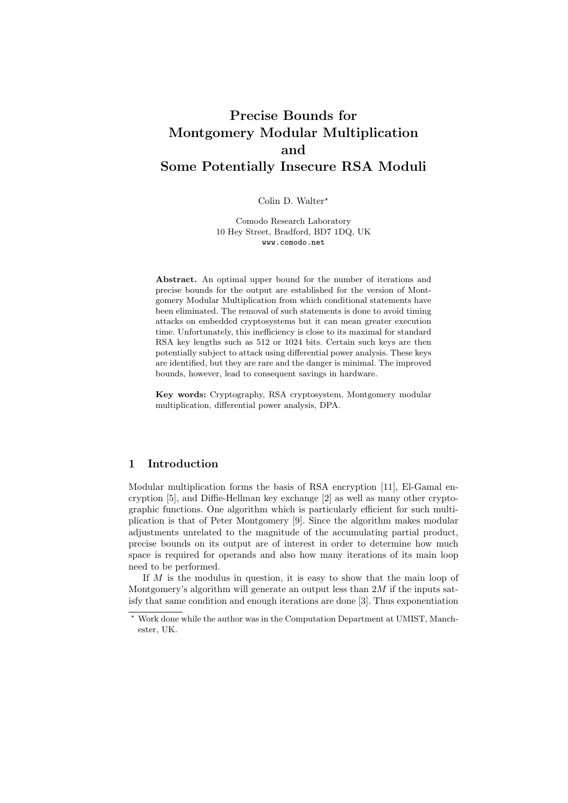# Precise Bounds for Montgomery Modular Multiplication and Some Potentially Insecure RSA Moduli

#### Colin D. Walter\*

Comodo Research Laboratory 10 Hey Street, Bradford, BD7 1DQ, UK www.comodo.net

Abstract. An optimal upper bound for the number of iterations and precise bounds for the output are established for the version of Montgomery Modular Multiplication from which conditional statements have been eliminated. The removal of such statements is done to avoid timing attacks on embedded cryptosystems but it can mean greater execution time. Unfortunately, this inefficiency is close to its maximal for standard RSA key lengths such as 512 or 1024 bits. Certain such keys are then potentially subject to attack using differential power analysis. These keys are identified, but they are rare and the danger is minimal. The improved bounds, however, lead to consequent savings in hardware.

Key words: Cryptography, RSA cryptosystem, Montgomery modular multiplication, differential power analysis, DPA.

# 1 Introduction

Modular multiplication forms the basis of RSA encryption [11], El-Gamal encryption [5], and Diffie-Hellman key exchange [2] as well as many other cryptographic functions. One algorithm which is particularly efficient for such multiplication is that of Peter Montgomery [9]. Since the algorithm makes modular adjustments unrelated to the magnitude of the accumulating partial product, precise bounds on its output are of interest in order to determine how much space is required for operands and also how many iterations of its main loop need to be performed.

If M is the modulus in question, it is easy to show that the main loop of Montgomery's algorithm will generate an output less than  $2M$  if the inputs satisfy that same condition and enough iterations are done [3]. Thus exponentiation

<sup>?</sup> Work done while the author was in the Computation Department at UMIST, Manchester, UK.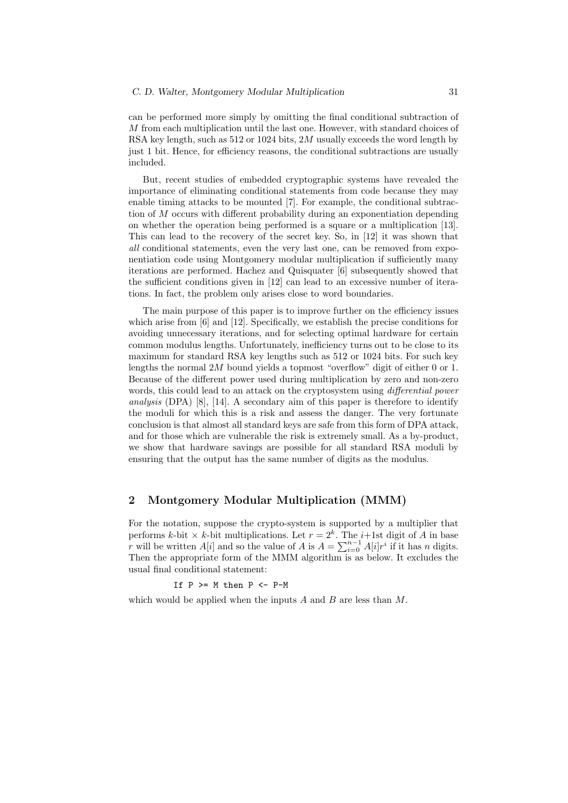can be performed more simply by omitting the final conditional subtraction of M from each multiplication until the last one. However, with standard choices of RSA key length, such as 512 or 1024 bits, 2M usually exceeds the word length by just 1 bit. Hence, for efficiency reasons, the conditional subtractions are usually included.

But, recent studies of embedded cryptographic systems have revealed the importance of eliminating conditional statements from code because they may enable timing attacks to be mounted [7]. For example, the conditional subtraction of M occurs with different probability during an exponentiation depending on whether the operation being performed is a square or a multiplication [13]. This can lead to the recovery of the secret key. So, in [12] it was shown that all conditional statements, even the very last one, can be removed from exponentiation code using Montgomery modular multiplication if sufficiently many iterations are performed. Hachez and Quisquater [6] subsequently showed that the sufficient conditions given in [12] can lead to an excessive number of iterations. In fact, the problem only arises close to word boundaries.

The main purpose of this paper is to improve further on the efficiency issues which arise from [6] and [12]. Specifically, we establish the precise conditions for avoiding unnecessary iterations, and for selecting optimal hardware for certain common modulus lengths. Unfortunately, inefficiency turns out to be close to its maximum for standard RSA key lengths such as 512 or 1024 bits. For such key lengths the normal 2M bound yields a topmost "overflow" digit of either 0 or 1. Because of the different power used during multiplication by zero and non-zero words, this could lead to an attack on the cryptosystem using *differential power* analysis (DPA) [8], [14]. A secondary aim of this paper is therefore to identify the moduli for which this is a risk and assess the danger. The very fortunate conclusion is that almost all standard keys are safe from this form of DPA attack, and for those which are vulnerable the risk is extremely small. As a by-product, we show that hardware savings are possible for all standard RSA moduli by ensuring that the output has the same number of digits as the modulus.

#### 2 Montgomery Modular Multiplication (MMM)

For the notation, suppose the crypto-system is supported by a multiplier that performs k-bit  $\times$  k-bit multiplications. Let  $r = 2<sup>k</sup>$ . The *i*+1st digit of A in base r will be written  $A[i]$  and so the value of A is  $A = \sum_{i=0}^{n-1} A[i] r^i$  if it has n digits. Then the appropriate form of the MMM algorithm is as below. It excludes the usual final conditional statement:

If  $P$  >=  $M$  then  $P$  <-  $P-M$ 

which would be applied when the inputs  $A$  and  $B$  are less than  $M$ .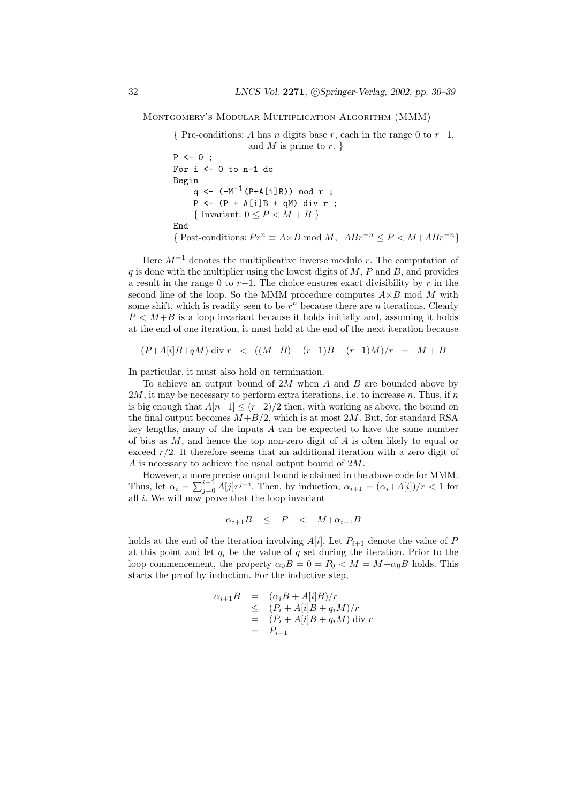Montgomery's Modular Multiplication Algorithm (MMM)

{ Pre-conditions: A has n digits base r, each in the range 0 to  $r-1$ , and M is prime to  $r.$ }  $P \leftarrow 0$ ;

```
For i \le 0 to n-1 do
Begin
     q <- (-M^{-1}(P+A[i]B)) mod r ;
     P <- (P + A[i]B + qM) div r;
     { Invariant: 0 \le P < M + B}
End
{ Post-conditions: Pr^n \equiv A \times B \mod M, ABr^{-n} \leq P \leq M + ABr^{-n}}
```
Here  $M^{-1}$  denotes the multiplicative inverse modulo r. The computation of  $q$  is done with the multiplier using the lowest digits of  $M$ ,  $P$  and  $B$ , and provides a result in the range 0 to  $r-1$ . The choice ensures exact divisibility by r in the second line of the loop. So the MMM procedure computes  $A \times B$  mod M with some shift, which is readily seen to be  $r^n$  because there are n iterations. Clearly  $P \lt M+B$  is a loop invariant because it holds initially and, assuming it holds at the end of one iteration, it must hold at the end of the next iteration because

$$
(P+A[i]B+qM)
$$
 div  $r \leq ((M+B)+(r-1)B+(r-1)M)/r = M+B$ 

In particular, it must also hold on termination.

To achieve an output bound of  $2M$  when A and B are bounded above by  $2M$ , it may be necessary to perform extra iterations, i.e. to increase n. Thus, if n is big enough that  $A[n-1] \leq (r-2)/2$  then, with working as above, the bound on the final output becomes  $M+B/2$ , which is at most 2M. But, for standard RSA key lengths, many of the inputs  $A$  can be expected to have the same number of bits as  $M$ , and hence the top non-zero digit of  $A$  is often likely to equal or exceed  $r/2$ . It therefore seems that an additional iteration with a zero digit of  $A$  is necessary to achieve the usual output bound of  $2M$ .

However, a more precise output bound is claimed in the above code for MMM. Thus, let  $\alpha_i = \sum_{j=0}^{i-1} A[j] r^{j-i}$ . Then, by induction,  $\alpha_{i+1} = (\alpha_i + A[i])/r < 1$  for all  $i$ . We will now prove that the loop invariant

$$
\alpha_{i+1}B \leq P \leq M + \alpha_{i+1}B
$$

holds at the end of the iteration involving  $A[i]$ . Let  $P_{i+1}$  denote the value of P at this point and let  $q_i$  be the value of  $q$  set during the iteration. Prior to the loop commencement, the property  $\alpha_0B = 0 = P_0 < M = M + \alpha_0B$  holds. This starts the proof by induction. For the inductive step,

$$
\alpha_{i+1}B = (\alpha_i B + A[i]B)/r
$$
  
\n
$$
\leq (P_i + A[i]B + q_iM)/r
$$
  
\n
$$
= (P_i + A[i]B + q_iM) \text{ div } r
$$
  
\n
$$
= P_{i+1}
$$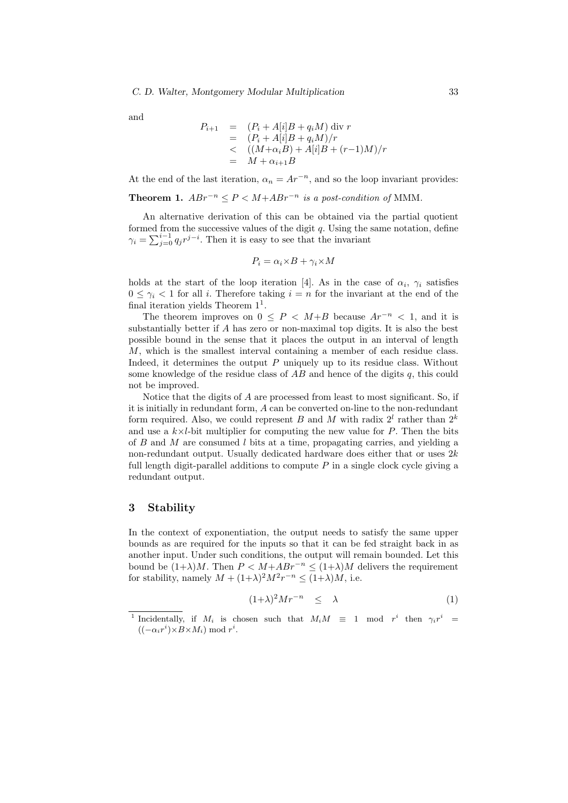and

$$
P_{i+1} = (P_i + A[i]B + q_i M) \text{ div } r
$$
  
=  $(P_i + A[i]B + q_i M)/r$   
<  $(M+\alpha_i B) + A[i]B + (r-1)M)/r$   
=  $M + \alpha_{i+1}B$ 

At the end of the last iteration,  $\alpha_n = Ar^{-n}$ , and so the loop invariant provides:

Theorem 1.  $ABr^{-n} \leq P \leq M+ABr^{-n}$  is a post-condition of MMM.

An alternative derivation of this can be obtained via the partial quotient formed from the successive values of the digit  $q$ . Using the same notation, define  $\gamma_i = \sum_{j=0}^{i-1} q_j r^{j-i}$ . Then it is easy to see that the invariant

$$
P_i = \alpha_i {\times} B + \gamma_i {\times} M
$$

holds at the start of the loop iteration [4]. As in the case of  $\alpha_i$ ,  $\gamma_i$  satisfies  $0 \leq \gamma_i < 1$  for all i. Therefore taking  $i = n$  for the invariant at the end of the final iteration yields Theorem  $1<sup>1</sup>$ .

The theorem improves on  $0 \leq P < M+B$  because  $Ar^{-n} < 1$ , and it is substantially better if A has zero or non-maximal top digits. It is also the best possible bound in the sense that it places the output in an interval of length M, which is the smallest interval containing a member of each residue class. Indeed, it determines the output  $P$  uniquely up to its residue class. Without some knowledge of the residue class of  $AB$  and hence of the digits q, this could not be improved.

Notice that the digits of A are processed from least to most significant. So, if it is initially in redundant form, A can be converted on-line to the non-redundant form required. Also, we could represent B and M with radix  $2^l$  rather than  $2^k$ and use a  $k \times l$ -bit multiplier for computing the new value for P. Then the bits of  $B$  and  $M$  are consumed  $l$  bits at a time, propagating carries, and yielding a non-redundant output. Usually dedicated hardware does either that or uses  $2k$ full length digit-parallel additions to compute  $P$  in a single clock cycle giving a redundant output.

## 3 Stability

In the context of exponentiation, the output needs to satisfy the same upper bounds as are required for the inputs so that it can be fed straight back in as another input. Under such conditions, the output will remain bounded. Let this bound be  $(1+\lambda)M$ . Then  $P \lt M + ABr^{-n} \leq (1+\lambda)M$  delivers the requirement for stability, namely  $M + (1+\lambda)^2 M^2 r^{-n} \leq (1+\lambda)M$ , i.e.

$$
(1+\lambda)^2 M r^{-n} \leq \lambda \tag{1}
$$

<sup>&</sup>lt;sup>1</sup> Incidentally, if  $M_i$  is chosen such that  $M_iM \equiv 1 \mod r^i$  then  $\gamma_i r^i =$  $((-\alpha_i r^i) \times B \times M_i) \bmod r^i$ .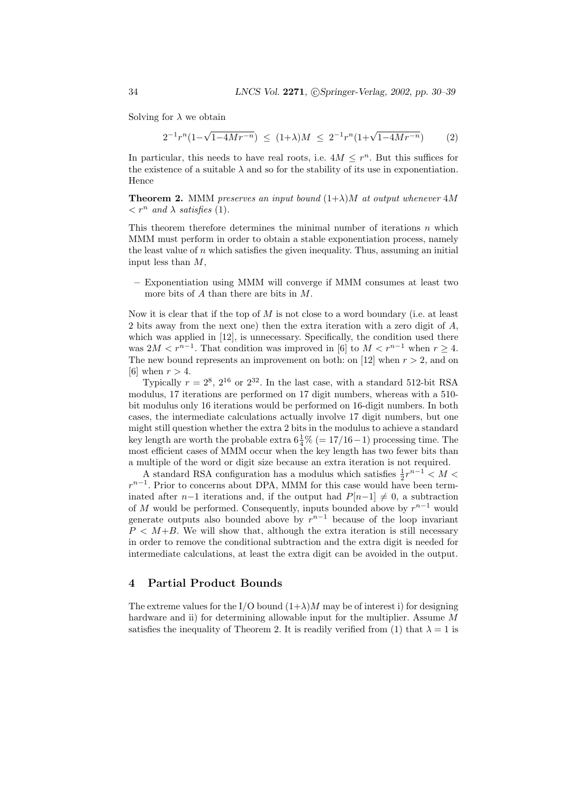Solving for  $\lambda$  we obtain

$$
2^{-1}r^{n}(1-\sqrt{1-4Mr^{-n}}) \leq (1+\lambda)M \leq 2^{-1}r^{n}(1+\sqrt{1-4Mr^{-n}}) \qquad (2)
$$

In particular, this needs to have real roots, i.e.  $4M \leq r^n$ . But this suffices for the existence of a suitable  $\lambda$  and so for the stability of its use in exponentiation. Hence

**Theorem 2.** MMM preserves an input bound  $(1+\lambda)M$  at output whenever  $4M$  $\langle r^n \text{ and } \lambda \text{ satisfies } (1) \rangle$ .

This theorem therefore determines the minimal number of iterations  $n$  which MMM must perform in order to obtain a stable exponentiation process, namely the least value of  $n$  which satisfies the given inequality. Thus, assuming an initial input less than  $M$ ,

– Exponentiation using MMM will converge if MMM consumes at least two more bits of A than there are bits in M.

Now it is clear that if the top of  $M$  is not close to a word boundary (i.e. at least 2 bits away from the next one) then the extra iteration with a zero digit of A, which was applied in [12], is unnecessary. Specifically, the condition used there was  $2M < r^{n-1}$ . That condition was improved in [6] to  $M < r^{n-1}$  when  $r \geq 4$ . The new bound represents an improvement on both: on [12] when  $r > 2$ , and on [6] when  $r > 4$ .

Typically  $r = 2^8$ ,  $2^{16}$  or  $2^{32}$ . In the last case, with a standard 512-bit RSA modulus, 17 iterations are performed on 17 digit numbers, whereas with a 510 bit modulus only 16 iterations would be performed on 16-digit numbers. In both cases, the intermediate calculations actually involve 17 digit numbers, but one might still question whether the extra 2 bits in the modulus to achieve a standard key length are worth the probable extra  $6\frac{1}{4}\%$  (= 17/16 – 1) processing time. The most efficient cases of MMM occur when the key length has two fewer bits than a multiple of the word or digit size because an extra iteration is not required.

A standard RSA configuration has a modulus which satisfies  $\frac{1}{2}r^{n-1} < M <$  $r^{n-1}$ . Prior to concerns about DPA, MMM for this case would have been terminated after n−1 iterations and, if the output had  $P[n-1] \neq 0$ , a subtraction of M would be performed. Consequently, inputs bounded above by  $r^{n-1}$  would generate outputs also bounded above by  $r^{n-1}$  because of the loop invariant  $P \leq M+B$ . We will show that, although the extra iteration is still necessary in order to remove the conditional subtraction and the extra digit is needed for intermediate calculations, at least the extra digit can be avoided in the output.

### 4 Partial Product Bounds

The extreme values for the I/O bound  $(1+\lambda)M$  may be of interest i) for designing hardware and ii) for determining allowable input for the multiplier. Assume M satisfies the inequality of Theorem 2. It is readily verified from (1) that  $\lambda = 1$  is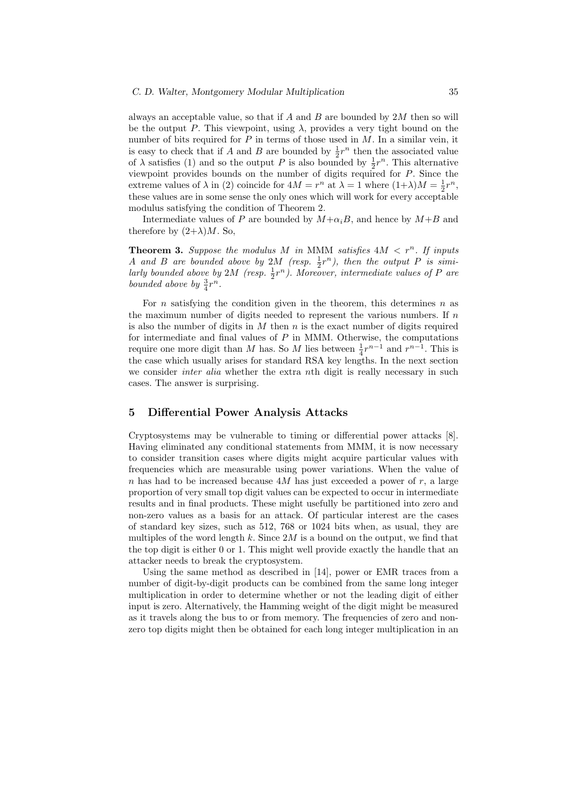always an acceptable value, so that if  $A$  and  $B$  are bounded by  $2M$  then so will be the output P. This viewpoint, using  $\lambda$ , provides a very tight bound on the number of bits required for  $P$  in terms of those used in  $M$ . In a similar vein, it is easy to check that if A and B are bounded by  $\frac{1}{2}r^n$  then the associated value of  $\lambda$  satisfies (1) and so the output P is also bounded by  $\frac{1}{2}r^n$ . This alternative viewpoint provides bounds on the number of digits required for P. Since the extreme values of  $\lambda$  in (2) coincide for  $4M = r^n$  at  $\lambda = 1$  where  $(1+\lambda)M = \frac{1}{2}r^n$ , these values are in some sense the only ones which will work for every acceptable modulus satisfying the condition of Theorem 2.

Intermediate values of P are bounded by  $M+\alpha_iB$ , and hence by  $M+B$  and therefore by  $(2+\lambda)M$ . So,

**Theorem 3.** Suppose the modulus M in MMM satisfies  $4M < r^n$ . If inputs A and B are bounded above by 2M (resp.  $\frac{1}{2}r^n$ ), then the output P is similarly bounded above by 2M (resp.  $\frac{1}{2}r^n$ ). Moreover, intermediate values of P are bounded above by  $\frac{3}{4}r^n$ .

For n satisfying the condition given in the theorem, this determines  $n$  as the maximum number of digits needed to represent the various numbers. If  $n$ is also the number of digits in  $M$  then  $n$  is the exact number of digits required for intermediate and final values of  $P$  in MMM. Otherwise, the computations require one more digit than M has. So M lies between  $\frac{1}{4}r^{n-1}$  and  $r^{n-1}$ . This is the case which usually arises for standard RSA key lengths. In the next section we consider *inter alia* whether the extra nth digit is really necessary in such cases. The answer is surprising.

# 5 Differential Power Analysis Attacks

Cryptosystems may be vulnerable to timing or differential power attacks [8]. Having eliminated any conditional statements from MMM, it is now necessary to consider transition cases where digits might acquire particular values with frequencies which are measurable using power variations. When the value of n has had to be increased because  $4M$  has just exceeded a power of r, a large proportion of very small top digit values can be expected to occur in intermediate results and in final products. These might usefully be partitioned into zero and non-zero values as a basis for an attack. Of particular interest are the cases of standard key sizes, such as 512, 768 or 1024 bits when, as usual, they are multiples of the word length k. Since  $2M$  is a bound on the output, we find that the top digit is either 0 or 1. This might well provide exactly the handle that an attacker needs to break the cryptosystem.

Using the same method as described in [14], power or EMR traces from a number of digit-by-digit products can be combined from the same long integer multiplication in order to determine whether or not the leading digit of either input is zero. Alternatively, the Hamming weight of the digit might be measured as it travels along the bus to or from memory. The frequencies of zero and nonzero top digits might then be obtained for each long integer multiplication in an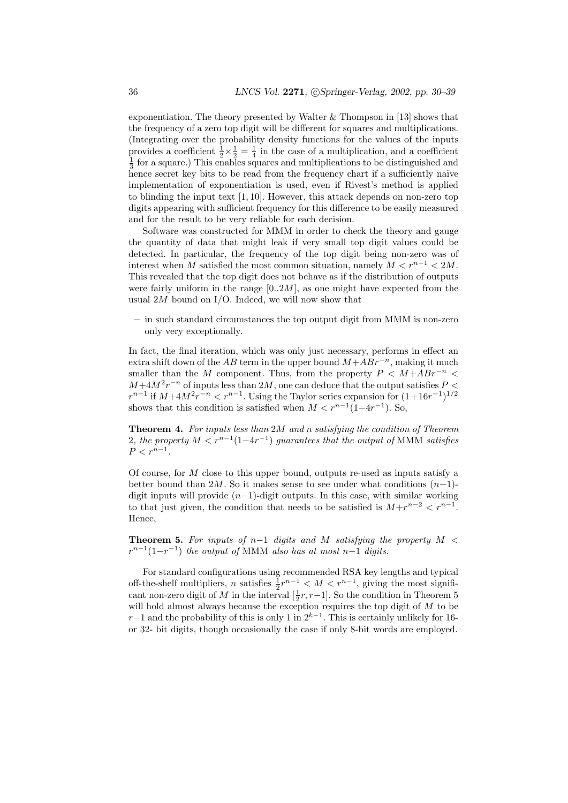exponentiation. The theory presented by Walter  $\&$  Thompson in [13] shows that the frequency of a zero top digit will be different for squares and multiplications. (Integrating over the probability density functions for the values of the inputs provides a coefficient  $\frac{1}{2} \times \frac{1}{2} = \frac{1}{4}$  in the case of a multiplication, and a coefficient  $\frac{1}{3}$  for a square.) This enables squares and multiplications to be distinguished and hence secret key bits to be read from the frequency chart if a sufficiently naïve implementation of exponentiation is used, even if Rivest's method is applied to blinding the input text [1, 10]. However, this attack depends on non-zero top digits appearing with sufficient frequency for this difference to be easily measured and for the result to be very reliable for each decision.

Software was constructed for MMM in order to check the theory and gauge the quantity of data that might leak if very small top digit values could be detected. In particular, the frequency of the top digit being non-zero was of interest when M satisfied the most common situation, namely  $M < r^{n-1} < 2M$ . This revealed that the top digit does not behave as if the distribution of outputs were fairly uniform in the range  $[0..2M]$ , as one might have expected from the usual  $2M$  bound on I/O. Indeed, we will now show that

– in such standard circumstances the top output digit from MMM is non-zero only very exceptionally.

In fact, the final iteration, which was only just necessary, performs in effect an extra shift down of the AB term in the upper bound  $M+ABr^{-n}$ , making it much smaller than the M component. Thus, from the property  $P < M + ABr^{-n} <$  $M+4M^2r^{-n}$  of inputs less than  $2M$ , one can deduce that the output satisfies  $P \leq$  $r^{n-1}$  if  $M+4M^2r^{-n} < r^{n-1}$ . Using the Taylor series expansion for  $(1+16r^{-1})^{1/2}$ shows that this condition is satisfied when  $M < r^{n-1}(1-4r^{-1})$ . So,

Theorem 4. For inputs less than 2M and n satisfying the condition of Theorem 2, the property  $M < r^{n-1}(1-4r^{-1})$  guarantees that the output of MMM satisfies  $P < r^{n-1}$ .

Of course, for M close to this upper bound, outputs re-used as inputs satisfy a better bound than 2M. So it makes sense to see under what conditions  $(n-1)$ digit inputs will provide  $(n-1)$ -digit outputs. In this case, with similar working to that just given, the condition that needs to be satisfied is  $M+r^{n-2} < r^{n-1}$ . Hence,

Theorem 5. For inputs of n-1 digits and M satisfying the property  $M <$  $r^{n-1}(1-r^{-1})$  the output of MMM also has at most n-1 digits.

For standard configurations using recommended RSA key lengths and typical off-the-shelf multipliers, n satisfies  $\frac{1}{2}r^{n-1} < M < r^{n-1}$ , giving the most significant non-zero digit of M in the interval  $[\frac{1}{2}r, r-1]$ . So the condition in Theorem 5 will hold almost always because the exception requires the top digit of M to be  $r-1$  and the probability of this is only 1 in  $2^{k-1}$ . This is certainly unlikely for 16or 32- bit digits, though occasionally the case if only 8-bit words are employed.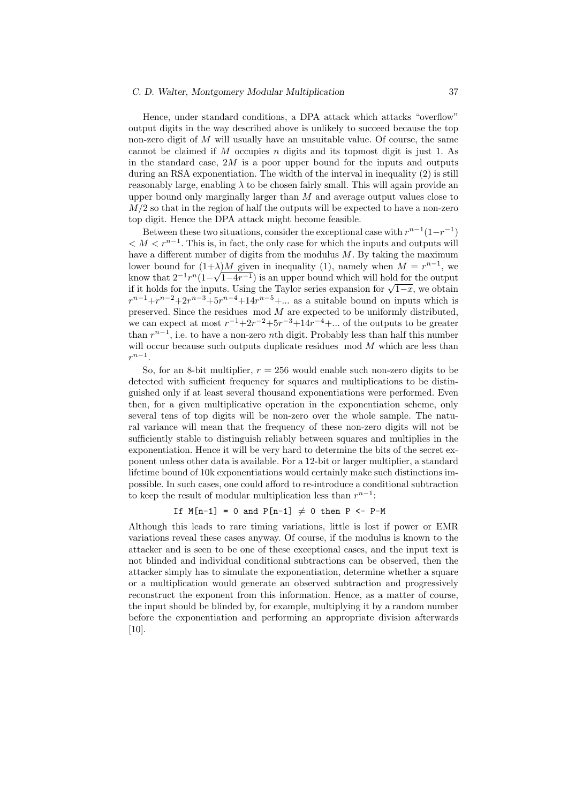Hence, under standard conditions, a DPA attack which attacks "overflow" output digits in the way described above is unlikely to succeed because the top non-zero digit of  $M$  will usually have an unsuitable value. Of course, the same cannot be claimed if  $M$  occupies  $n$  digits and its topmost digit is just 1. As in the standard case,  $2M$  is a poor upper bound for the inputs and outputs during an RSA exponentiation. The width of the interval in inequality (2) is still reasonably large, enabling  $\lambda$  to be chosen fairly small. This will again provide an upper bound only marginally larger than  $M$  and average output values close to  $M/2$  so that in the region of half the outputs will be expected to have a non-zero top digit. Hence the DPA attack might become feasible.

Between these two situations, consider the exceptional case with  $r^{n-1}(1-r^{-1})$  $M < r^{n-1}$ . This is, in fact, the only case for which the inputs and outputs will have a different number of digits from the modulus  $M$ . By taking the maximum lower bound for  $(1+\lambda)M$  given in inequality (1), namely when  $M = r^{n-1}$ , we know that  $2^{-1}r^n(1-\sqrt{1-4r^{-1}})$  is an upper bound which will hold for the output know that  $2^{-r}$   $\binom{1-\sqrt{1-4r-2}}{2}$  is an upper bound which will hold for the output<br>if it holds for the inputs. Using the Taylor series expansion for  $\sqrt{1-x}$ , we obtain  $r^{n-1}+r^{n-2}+2r^{n-3}+5r^{n-4}+14r^{n-5}+\dots$  as a suitable bound on inputs which is preserved. Since the residues  $mod M$  are expected to be uniformly distributed, we can expect at most  $r^{-1}+2r^{-2}+5r^{-3}+14r^{-4}+\dots$  of the outputs to be greater than  $r^{n-1}$ , i.e. to have a non-zero *n*th digit. Probably less than half this number will occur because such outputs duplicate residues  $\mod M$  which are less than  $r^{n-1}$ .

So, for an 8-bit multiplier,  $r = 256$  would enable such non-zero digits to be detected with sufficient frequency for squares and multiplications to be distinguished only if at least several thousand exponentiations were performed. Even then, for a given multiplicative operation in the exponentiation scheme, only several tens of top digits will be non-zero over the whole sample. The natural variance will mean that the frequency of these non-zero digits will not be sufficiently stable to distinguish reliably between squares and multiplies in the exponentiation. Hence it will be very hard to determine the bits of the secret exponent unless other data is available. For a 12-bit or larger multiplier, a standard lifetime bound of 10k exponentiations would certainly make such distinctions impossible. In such cases, one could afford to re-introduce a conditional subtraction to keep the result of modular multiplication less than  $r^{n-1}$ :

#### If  $M[n-1] = 0$  and  $P[n-1] \neq 0$  then P <- P-M

Although this leads to rare timing variations, little is lost if power or EMR variations reveal these cases anyway. Of course, if the modulus is known to the attacker and is seen to be one of these exceptional cases, and the input text is not blinded and individual conditional subtractions can be observed, then the attacker simply has to simulate the exponentiation, determine whether a square or a multiplication would generate an observed subtraction and progressively reconstruct the exponent from this information. Hence, as a matter of course, the input should be blinded by, for example, multiplying it by a random number before the exponentiation and performing an appropriate division afterwards [10].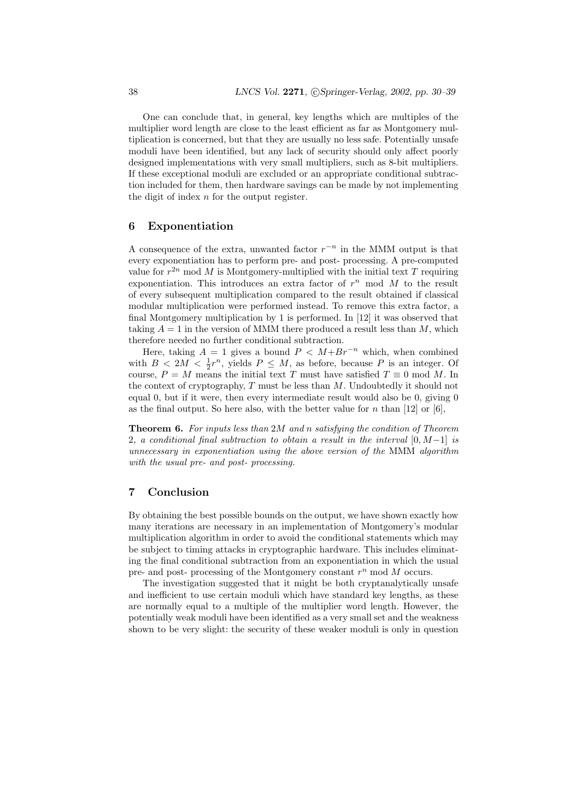One can conclude that, in general, key lengths which are multiples of the multiplier word length are close to the least efficient as far as Montgomery multiplication is concerned, but that they are usually no less safe. Potentially unsafe moduli have been identified, but any lack of security should only affect poorly designed implementations with very small multipliers, such as 8-bit multipliers. If these exceptional moduli are excluded or an appropriate conditional subtraction included for them, then hardware savings can be made by not implementing the digit of index  $n$  for the output register.

# 6 Exponentiation

A consequence of the extra, unwanted factor  $r^{-n}$  in the MMM output is that every exponentiation has to perform pre- and post- processing. A pre-computed value for  $r^{2n}$  mod M is Montgomery-multiplied with the initial text T requiring exponentiation. This introduces an extra factor of  $r^n$  mod M to the result of every subsequent multiplication compared to the result obtained if classical modular multiplication were performed instead. To remove this extra factor, a final Montgomery multiplication by 1 is performed. In [12] it was observed that taking  $A = 1$  in the version of MMM there produced a result less than M, which therefore needed no further conditional subtraction.

Here, taking  $A = 1$  gives a bound  $P \leq M + Br^{-n}$  which, when combined with  $B < 2M < \frac{1}{2}r^n$ , yields  $P \leq M$ , as before, because P is an integer. Of course,  $P = M$  means the initial text T must have satisfied  $T \equiv 0 \mod M$ . In the context of cryptography,  $T$  must be less than  $M$ . Undoubtedly it should not equal 0, but if it were, then every intermediate result would also be 0, giving 0 as the final output. So here also, with the better value for n than [12] or [6],

**Theorem 6.** For inputs less than 2M and n satisfying the condition of Theorem 2, a conditional final subtraction to obtain a result in the interval  $[0, M-1]$  is unnecessary in exponentiation using the above version of the MMM algorithm with the usual pre- and post- processing.

## 7 Conclusion

By obtaining the best possible bounds on the output, we have shown exactly how many iterations are necessary in an implementation of Montgomery's modular multiplication algorithm in order to avoid the conditional statements which may be subject to timing attacks in cryptographic hardware. This includes eliminating the final conditional subtraction from an exponentiation in which the usual pre- and post- processing of the Montgomery constant  $r^n$  mod M occurs.

The investigation suggested that it might be both cryptanalytically unsafe and inefficient to use certain moduli which have standard key lengths, as these are normally equal to a multiple of the multiplier word length. However, the potentially weak moduli have been identified as a very small set and the weakness shown to be very slight: the security of these weaker moduli is only in question